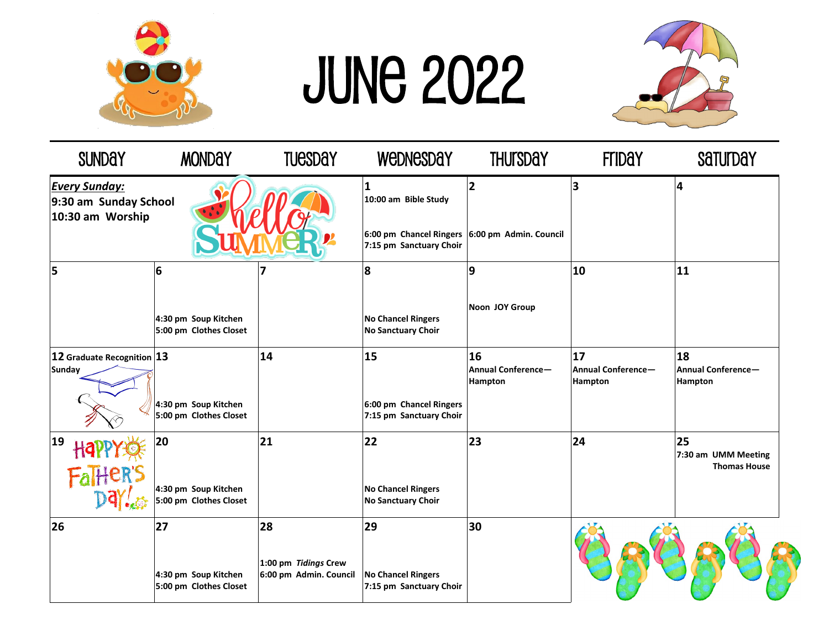

## June 2022



| <b>SUNDAY</b>                                                     | <b>MONDAY</b>                                        | <b>TUESDAY</b>                                       | WEDNESDAY                                                                                              | <b>THUTSDAY</b>                            | <b>Friday</b>                              | Saturday                                         |
|-------------------------------------------------------------------|------------------------------------------------------|------------------------------------------------------|--------------------------------------------------------------------------------------------------------|--------------------------------------------|--------------------------------------------|--------------------------------------------------|
| <b>Every Sunday:</b><br>9:30 am Sunday School<br>10:30 am Worship |                                                      |                                                      | 1<br>10:00 am Bible Study<br>6:00 pm Chancel Ringers 6:00 pm Admin. Council<br>7:15 pm Sanctuary Choir | $\overline{2}$                             | $\overline{\mathbf{3}}$                    | 4                                                |
| 5                                                                 | 6<br>4:30 pm Soup Kitchen<br>5:00 pm Clothes Closet  |                                                      | 8<br><b>No Chancel Ringers</b><br><b>No Sanctuary Choir</b>                                            | 9<br>Noon JOY Group                        | 10                                         | 11                                               |
| $ 12$ Graduate Recognition $ 13 $<br><b>Sunday</b>                | 4:30 pm Soup Kitchen<br>5:00 pm Clothes Closet       | 14                                                   | 15<br>6:00 pm Chancel Ringers<br>7:15 pm Sanctuary Choir                                               | 16<br><b>Annual Conference-</b><br>Hampton | 17<br><b>Annual Conference-</b><br>Hampton | 18<br>Annual Conference-<br>Hampton              |
| 19<br>Fal <sub>ter</sub> 's                                       | 20<br>4:30 pm Soup Kitchen<br>5:00 pm Clothes Closet | 21                                                   | 22<br><b>No Chancel Ringers</b><br><b>No Sanctuary Choir</b>                                           | 23                                         | 24                                         | 25<br>7:30 am UMM Meeting<br><b>Thomas House</b> |
| 26                                                                | 27<br>4:30 pm Soup Kitchen<br>5:00 pm Clothes Closet | 28<br>1:00 pm Tidings Crew<br>6:00 pm Admin. Council | 29<br><b>No Chancel Ringers</b><br>7:15 pm Sanctuary Choir                                             | 30                                         |                                            |                                                  |